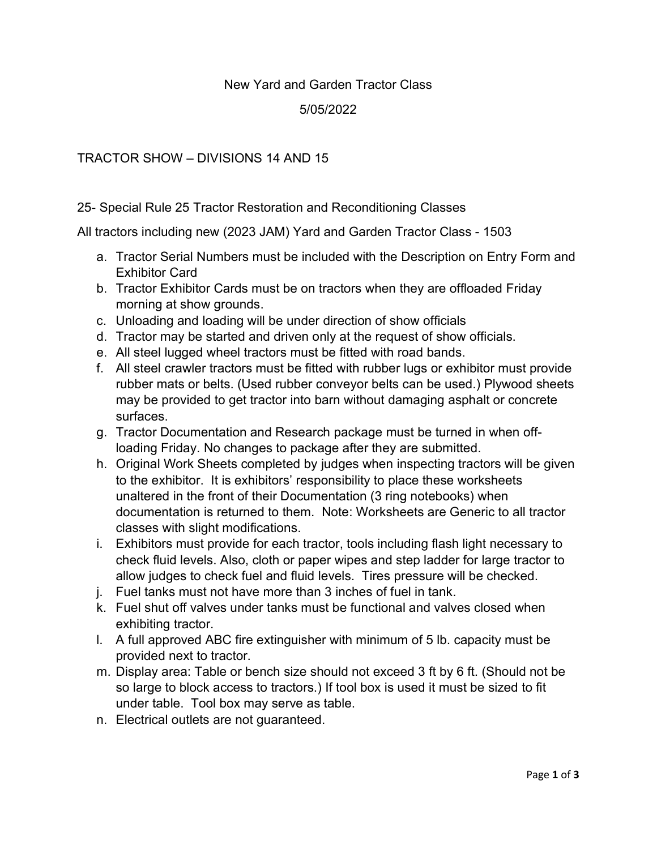## New Yard and Garden Tractor Class

## 5/05/2022

## TRACTOR SHOW – DIVISIONS 14 AND 15

## 25- Special Rule 25 Tractor Restoration and Reconditioning Classes

All tractors including new (2023 JAM) Yard and Garden Tractor Class - 1503

- a. Tractor Serial Numbers must be included with the Description on Entry Form and Exhibitor Card
- b. Tractor Exhibitor Cards must be on tractors when they are offloaded Friday morning at show grounds.
- c. Unloading and loading will be under direction of show officials
- d. Tractor may be started and driven only at the request of show officials.
- e. All steel lugged wheel tractors must be fitted with road bands.
- f. All steel crawler tractors must be fitted with rubber lugs or exhibitor must provide rubber mats or belts. (Used rubber conveyor belts can be used.) Plywood sheets may be provided to get tractor into barn without damaging asphalt or concrete surfaces.
- g. Tractor Documentation and Research package must be turned in when offloading Friday. No changes to package after they are submitted.
- h. Original Work Sheets completed by judges when inspecting tractors will be given to the exhibitor. It is exhibitors' responsibility to place these worksheets unaltered in the front of their Documentation (3 ring notebooks) when documentation is returned to them. Note: Worksheets are Generic to all tractor classes with slight modifications.
- i. Exhibitors must provide for each tractor, tools including flash light necessary to check fluid levels. Also, cloth or paper wipes and step ladder for large tractor to allow judges to check fuel and fluid levels. Tires pressure will be checked.
- j. Fuel tanks must not have more than 3 inches of fuel in tank.
- k. Fuel shut off valves under tanks must be functional and valves closed when exhibiting tractor.
- l. A full approved ABC fire extinguisher with minimum of 5 lb. capacity must be provided next to tractor.
- m. Display area: Table or bench size should not exceed 3 ft by 6 ft. (Should not be so large to block access to tractors.) If tool box is used it must be sized to fit under table. Tool box may serve as table.
- n. Electrical outlets are not guaranteed.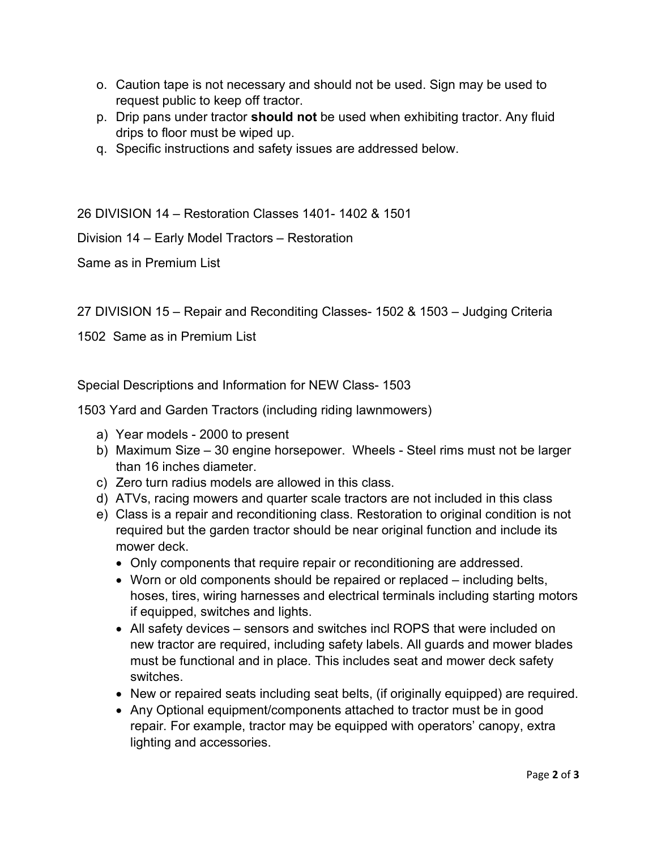- o. Caution tape is not necessary and should not be used. Sign may be used to request public to keep off tractor.
- p. Drip pans under tractor **should not** be used when exhibiting tractor. Any fluid drips to floor must be wiped up.
- q. Specific instructions and safety issues are addressed below.

26 DIVISION 14 – Restoration Classes 1401- 1402 & 1501

Division 14 – Early Model Tractors – Restoration

Same as in Premium List

27 DIVISION 15 – Repair and Reconditing Classes- 1502 & 1503 – Judging Criteria

1502 Same as in Premium List

Special Descriptions and Information for NEW Class- 1503

1503 Yard and Garden Tractors (including riding lawnmowers)

- a) Year models 2000 to present
- b) Maximum Size 30 engine horsepower. Wheels Steel rims must not be larger than 16 inches diameter.
- c) Zero turn radius models are allowed in this class.
- d) ATVs, racing mowers and quarter scale tractors are not included in this class
- e) Class is a repair and reconditioning class. Restoration to original condition is not required but the garden tractor should be near original function and include its mower deck.
	- Only components that require repair or reconditioning are addressed.
	- Worn or old components should be repaired or replaced including belts, hoses, tires, wiring harnesses and electrical terminals including starting motors if equipped, switches and lights.
	- All safety devices sensors and switches incl ROPS that were included on new tractor are required, including safety labels. All guards and mower blades must be functional and in place. This includes seat and mower deck safety switches.
	- New or repaired seats including seat belts, (if originally equipped) are required.
	- Any Optional equipment/components attached to tractor must be in good repair. For example, tractor may be equipped with operators' canopy, extra lighting and accessories.